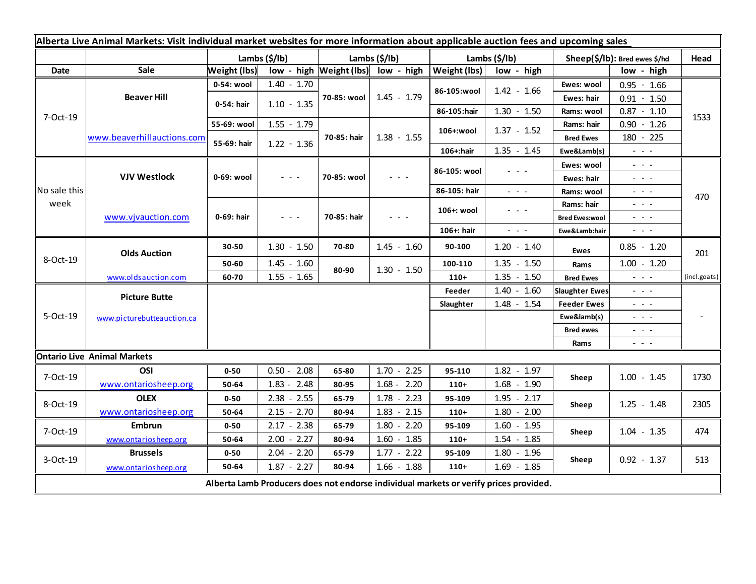| Alberta Live Animal Markets: Visit individual market websites for more information about applicable auction fees and upcoming sales |                            |                           |                                                                                                                        |                           |                                         |                       |                         |                               |                                                                                                                                                                                                                                                                                                                                                                                                                                                |              |
|-------------------------------------------------------------------------------------------------------------------------------------|----------------------------|---------------------------|------------------------------------------------------------------------------------------------------------------------|---------------------------|-----------------------------------------|-----------------------|-------------------------|-------------------------------|------------------------------------------------------------------------------------------------------------------------------------------------------------------------------------------------------------------------------------------------------------------------------------------------------------------------------------------------------------------------------------------------------------------------------------------------|--------------|
|                                                                                                                                     |                            | Lambs $(\frac{2}{3})$ lb) |                                                                                                                        | Lambs $(\frac{2}{3})$ lb) |                                         | Lambs $(\frac{2}{3})$ |                         | Sheep(\$/lb): Bred ewes \$/hd |                                                                                                                                                                                                                                                                                                                                                                                                                                                | Head         |
| <b>Date</b>                                                                                                                         | Sale                       | <b>Weight (lbs)</b>       |                                                                                                                        |                           | $low - high$   Weight (lbs)  low - high | Weight (lbs)          | low - high              |                               | low - high                                                                                                                                                                                                                                                                                                                                                                                                                                     |              |
| 7-Oct-19                                                                                                                            | <b>Beaver Hill</b>         | 0-54: wool                | $1.40 - 1.70$                                                                                                          | 70-85: wool               | $1.45 - 1.79$                           | 86-105:wool           | $1.42 - 1.66$           | Ewes: wool                    | $0.95 - 1.66$                                                                                                                                                                                                                                                                                                                                                                                                                                  |              |
|                                                                                                                                     |                            | 0-54: hair                | $1.10 - 1.35$                                                                                                          |                           |                                         |                       |                         | Ewes: hair                    | $0.91 - 1.50$                                                                                                                                                                                                                                                                                                                                                                                                                                  |              |
|                                                                                                                                     |                            |                           |                                                                                                                        |                           |                                         | 86-105:hair           | $1.30 - 1.50$           | Rams: wool                    | $0.87 - 1.10$                                                                                                                                                                                                                                                                                                                                                                                                                                  | 1533         |
|                                                                                                                                     | www.beaverhillauctions.com | 55-69: wool               | $1.55 - 1.79$                                                                                                          | 70-85: hair               | $1.38 - 1.55$                           | 106+:wool             | $1.37 - 1.52$           | Rams: hair                    | $0.90 - 1.26$                                                                                                                                                                                                                                                                                                                                                                                                                                  |              |
|                                                                                                                                     |                            | 55-69: hair               | $1.22 - 1.36$                                                                                                          |                           |                                         |                       |                         | <b>Bred Ewes</b>              | 180 - 225                                                                                                                                                                                                                                                                                                                                                                                                                                      |              |
|                                                                                                                                     |                            |                           |                                                                                                                        |                           |                                         | 106+:hair             | $1.35 - 1.45$           | Ewe&Lamb(s)                   | $\omega_{\rm{max}}$ and $\omega_{\rm{max}}$                                                                                                                                                                                                                                                                                                                                                                                                    |              |
| No sale this<br>week                                                                                                                | <b>VJV Westlock</b>        | 0-69: wool                | $\sigma_{\rm c}$ , $\sigma_{\rm c}$ , $\sigma_{\rm c}$                                                                 | 70-85: wool               | - - -                                   | 86-105: wool          | - - -                   | Ewes: wool                    | $  -$                                                                                                                                                                                                                                                                                                                                                                                                                                          |              |
|                                                                                                                                     |                            |                           |                                                                                                                        |                           |                                         |                       |                         | Ewes: hair                    | $\omega_{\rm{eff}}=0.1$                                                                                                                                                                                                                                                                                                                                                                                                                        |              |
|                                                                                                                                     |                            |                           |                                                                                                                        |                           |                                         | 86-105: hair          | $\omega_{\rm{eff}}=0.1$ | Rams: wool                    | $\frac{1}{2} \left( \frac{1}{2} \right) \frac{1}{2} \left( \frac{1}{2} \right) \frac{1}{2} \left( \frac{1}{2} \right) \frac{1}{2} \left( \frac{1}{2} \right) \frac{1}{2} \left( \frac{1}{2} \right) \frac{1}{2} \left( \frac{1}{2} \right) \frac{1}{2} \left( \frac{1}{2} \right) \frac{1}{2} \left( \frac{1}{2} \right) \frac{1}{2} \left( \frac{1}{2} \right) \frac{1}{2} \left( \frac{1}{2} \right) \frac{1}{2} \left( \frac{1}{2} \right)$ | 470          |
|                                                                                                                                     | www.vjvauction.com         | 0-69: hair                | $\frac{1}{2} \left( \frac{1}{2} \right) \frac{1}{2} \left( \frac{1}{2} \right) \frac{1}{2} \left( \frac{1}{2} \right)$ | 70-85: hair               | $  -$                                   | 106+: wool            | - - -                   | Rams: hair                    | $\frac{1}{2} \left( \frac{1}{2} \right) \frac{1}{2} \left( \frac{1}{2} \right) \frac{1}{2} \left( \frac{1}{2} \right) \frac{1}{2} \left( \frac{1}{2} \right) \frac{1}{2} \left( \frac{1}{2} \right) \frac{1}{2} \left( \frac{1}{2} \right) \frac{1}{2} \left( \frac{1}{2} \right) \frac{1}{2} \left( \frac{1}{2} \right) \frac{1}{2} \left( \frac{1}{2} \right) \frac{1}{2} \left( \frac{1}{2} \right) \frac{1}{2} \left( \frac{1}{2} \right)$ |              |
|                                                                                                                                     |                            |                           |                                                                                                                        |                           |                                         |                       |                         | <b>Bred Ewes:wool</b>         | $\frac{1}{2} \left( \frac{1}{2} \right) \left( \frac{1}{2} \right) \left( \frac{1}{2} \right) \left( \frac{1}{2} \right) \left( \frac{1}{2} \right)$                                                                                                                                                                                                                                                                                           |              |
|                                                                                                                                     |                            |                           |                                                                                                                        |                           |                                         | 106+: hair            | $\sim$ 10 $\sim$        | Ewe&Lamb:hair                 | $ -$                                                                                                                                                                                                                                                                                                                                                                                                                                           |              |
| 8-Oct-19                                                                                                                            | <b>Olds Auction</b>        | 30-50                     | $1.30 - 1.50$                                                                                                          | 70-80                     | $1.45 - 1.60$                           | 90-100                | $1.20 - 1.40$           | <b>Ewes</b>                   | $0.85 - 1.20$                                                                                                                                                                                                                                                                                                                                                                                                                                  | 201          |
|                                                                                                                                     |                            | 50-60                     | $1.45 - 1.60$                                                                                                          | 80-90                     | $1.30 - 1.50$                           | 100-110               | $1.35 - 1.50$           | Rams                          | $1.00 - 1.20$                                                                                                                                                                                                                                                                                                                                                                                                                                  |              |
|                                                                                                                                     | www.oldsauction.com        | 60-70                     | $1.55 - 1.65$                                                                                                          |                           |                                         | $110+$                | $1.35 - 1.50$           | <b>Bred Ewes</b>              | $\omega_{\rm{max}}$ and $\omega_{\rm{max}}$                                                                                                                                                                                                                                                                                                                                                                                                    | (incl.goats) |
| 5-Oct-19                                                                                                                            | <b>Picture Butte</b>       |                           |                                                                                                                        |                           |                                         | Feeder                | $1.40 - 1.60$           | <b>Slaughter Ewes</b>         | - - -                                                                                                                                                                                                                                                                                                                                                                                                                                          |              |
|                                                                                                                                     | www.picturebutteauction.ca |                           |                                                                                                                        |                           |                                         | Slaughter             | $1.48 - 1.54$           | <b>Feeder Ewes</b>            | $\frac{1}{2} \left( \frac{1}{2} \right) \left( \frac{1}{2} \right) \left( \frac{1}{2} \right) \left( \frac{1}{2} \right)$                                                                                                                                                                                                                                                                                                                      |              |
|                                                                                                                                     |                            |                           |                                                                                                                        |                           |                                         |                       |                         | Ewe&lamb(s)                   | $  -$                                                                                                                                                                                                                                                                                                                                                                                                                                          |              |
|                                                                                                                                     |                            |                           |                                                                                                                        |                           |                                         |                       |                         | <b>Bred ewes</b>              | $\sim$ 100 $\sim$                                                                                                                                                                                                                                                                                                                                                                                                                              |              |
|                                                                                                                                     |                            |                           |                                                                                                                        |                           |                                         |                       |                         | Rams                          | $\sim$ $ -$                                                                                                                                                                                                                                                                                                                                                                                                                                    |              |
| <b>Ontario Live Animal Markets</b>                                                                                                  |                            |                           |                                                                                                                        |                           |                                         |                       |                         |                               |                                                                                                                                                                                                                                                                                                                                                                                                                                                |              |
| 7-Oct-19                                                                                                                            | OSI                        | $0 - 50$                  | $0.50 - 2.08$                                                                                                          | 65-80                     | $1.70 - 2.25$                           | 95-110                | $1.82 - 1.97$           | Sheep                         | $1.00 - 1.45$                                                                                                                                                                                                                                                                                                                                                                                                                                  | 1730         |
|                                                                                                                                     | www.ontariosheep.org       | 50-64                     | $1.83 - 2.48$                                                                                                          | 80-95                     | $1.68 - 2.20$                           | $110+$                | $1.68 - 1.90$           |                               |                                                                                                                                                                                                                                                                                                                                                                                                                                                |              |
| 8-Oct-19                                                                                                                            | <b>OLEX</b>                | $0 - 50$                  | $2.38 - 2.55$                                                                                                          | 65-79                     | $1.78 - 2.23$                           | 95-109                | $1.95 - 2.17$           | Sheep                         | $1.25 - 1.48$                                                                                                                                                                                                                                                                                                                                                                                                                                  | 2305         |
|                                                                                                                                     | www.ontariosheep.org       | 50-64                     | $2.15 - 2.70$                                                                                                          | 80-94                     | $1.83 - 2.15$                           | $110+$                | $1.80 - 2.00$           |                               |                                                                                                                                                                                                                                                                                                                                                                                                                                                |              |
| 7-Oct-19                                                                                                                            | <b>Embrun</b>              | $0 - 50$                  | $2.17 - 2.38$                                                                                                          | 65-79                     | $1.80 - 2.20$                           | 95-109                | $1.60 - 1.95$           | Sheep                         | $1.04 - 1.35$                                                                                                                                                                                                                                                                                                                                                                                                                                  | 474          |
|                                                                                                                                     | www.ontariosheep.org       | 50-64                     | $2.00 - 2.27$                                                                                                          | 80-94                     | $1.60 - 1.85$                           | $110+$                | $1.54 - 1.85$           |                               |                                                                                                                                                                                                                                                                                                                                                                                                                                                |              |
| 3-Oct-19                                                                                                                            | <b>Brussels</b>            | $0 - 50$                  | $2.04 - 2.20$                                                                                                          | 65-79                     | $1.77 - 2.22$                           | 95-109                | $1.80 - 1.96$           | Sheep                         | $0.92 - 1.37$                                                                                                                                                                                                                                                                                                                                                                                                                                  | 513          |
|                                                                                                                                     | www.ontariosheep.org       | 50-64                     | $1.87 - 2.27$                                                                                                          | 80-94                     | $1.66 - 1.88$                           | $110+$                | $1.69 - 1.85$           |                               |                                                                                                                                                                                                                                                                                                                                                                                                                                                |              |
| Alberta Lamb Producers does not endorse individual markets or verify prices provided.                                               |                            |                           |                                                                                                                        |                           |                                         |                       |                         |                               |                                                                                                                                                                                                                                                                                                                                                                                                                                                |              |